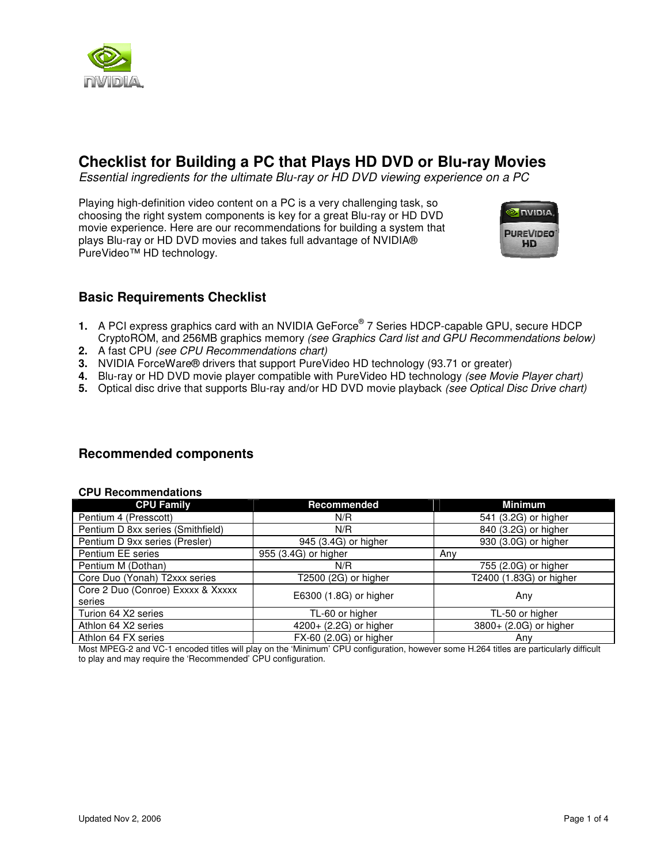

# **Checklist for Building a PC that Plays HD DVD or Blu-ray Movies**

Essential ingredients for the ultimate Blu-ray or HD DVD viewing experience on a PC

Playing high-definition video content on a PC is a very challenging task, so choosing the right system components is key for a great Blu-ray or HD DVD movie experience. Here are our recommendations for building a system that plays Blu-ray or HD DVD movies and takes full advantage of NVIDIA® PureVideo™ HD technology.



# **Basic Requirements Checklist**

- **1.** A PCI express graphics card with an NVIDIA GeForce® 7 Series HDCP-capable GPU, secure HDCP CryptoROM, and 256MB graphics memory (see Graphics Card list and GPU Recommendations below)
- **2.** A fast CPU (see CPU Recommendations chart)
- **3.** NVIDIA ForceWare® drivers that support PureVideo HD technology (93.71 or greater)
- **4.** Blu-ray or HD DVD movie player compatible with PureVideo HD technology (see Movie Player chart)
- **5.** Optical disc drive that supports Blu-ray and/or HD DVD movie playback (see Optical Disc Drive chart)

## **Recommended components**

**CPU Recommendations** 

| <b>UPU RECOMMENDATIONS</b>        |                        |                         |  |  |  |
|-----------------------------------|------------------------|-------------------------|--|--|--|
| <b>CPU Family</b>                 | Recommended            | Minimum                 |  |  |  |
| Pentium 4 (Presscott)             | N/R                    | 541 (3.2G) or higher    |  |  |  |
| Pentium D 8xx series (Smithfield) | N/R                    | 840 (3.2G) or higher    |  |  |  |
| Pentium D 9xx series (Presler)    | 945 (3.4G) or higher   | 930 (3.0G) or higher    |  |  |  |
| Pentium EE series                 | 955 (3.4G) or higher   | Anv                     |  |  |  |
| Pentium M (Dothan)                | N/R                    | 755 (2.0G) or higher    |  |  |  |
| Core Duo (Yonah) T2xxx series     | T2500 (2G) or higher   | T2400 (1.83G) or higher |  |  |  |
| Core 2 Duo (Conroe) Exxxx & Xxxxx | E6300 (1.8G) or higher | Any                     |  |  |  |
| series                            |                        |                         |  |  |  |
| Turion 64 X2 series               | TL-60 or higher        | TL-50 or higher         |  |  |  |
| Athlon 64 X2 series               | 4200+ (2.2G) or higher | 3800+ (2.0G) or higher  |  |  |  |
| Athlon 64 FX series               | FX-60 (2.0G) or higher | Any                     |  |  |  |

#### Most MPEG-2 and VC-1 encoded titles will play on the 'Minimum' CPU configuration, however some H.264 titles are particularly difficult to play and may require the 'Recommended' CPU configuration.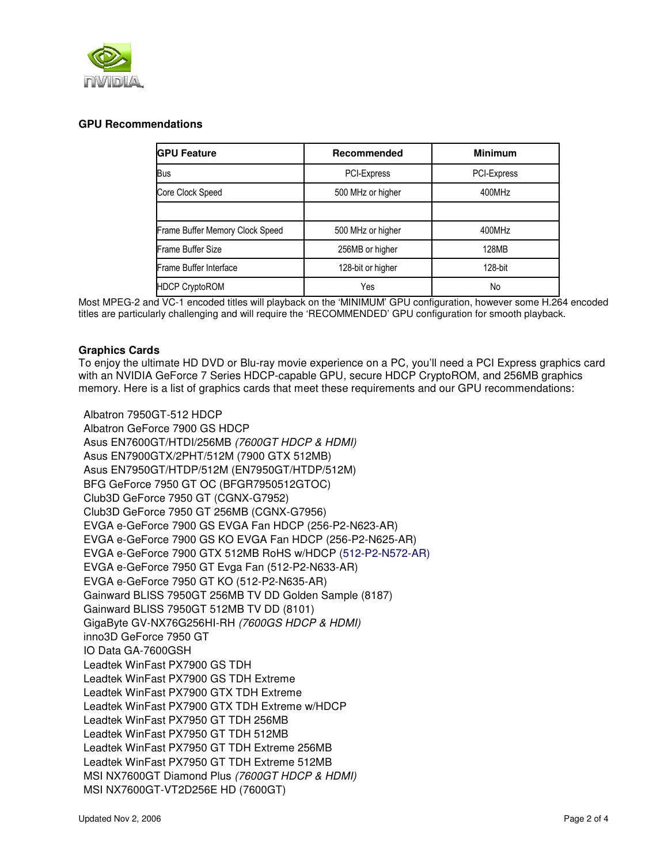

## **GPU Recommendations**

| <b>GPU Feature</b>              | Recommended       |             |  |
|---------------------------------|-------------------|-------------|--|
| <b>Bus</b>                      | PCI-Express       | PCI-Express |  |
| Core Clock Speed                | 500 MHz or higher | 400MHz      |  |
|                                 |                   |             |  |
| Frame Buffer Memory Clock Speed | 500 MHz or higher | 400MHz      |  |
| Frame Buffer Size               | 256MB or higher   | 128MB       |  |
| Frame Buffer Interface          | 128-bit or higher | 128-bit     |  |
| <b>HDCP CryptoROM</b><br>Yes    |                   | No          |  |

Most MPEG-2 and VC-1 encoded titles will playback on the 'MINIMUM' GPU configuration, however some H.264 encoded titles are particularly challenging and will require the 'RECOMMENDED' GPU configuration for smooth playback.

### **Graphics Cards**

To enjoy the ultimate HD DVD or Blu-ray movie experience on a PC, you'll need a PCI Express graphics card with an NVIDIA GeForce 7 Series HDCP-capable GPU, secure HDCP CryptoROM, and 256MB graphics memory. Here is a list of graphics cards that meet these requirements and our GPU recommendations:

Albatron 7950GT-512 HDCP Albatron GeForce 7900 GS HDCP Asus EN7600GT/HTDI/256MB (7600GT HDCP & HDMI) Asus EN7900GTX/2PHT/512M (7900 GTX 512MB) Asus EN7950GT/HTDP/512M (EN7950GT/HTDP/512M) BFG GeForce 7950 GT OC (BFGR7950512GTOC) Club3D GeForce 7950 GT (CGNX-G7952) Club3D GeForce 7950 GT 256MB (CGNX-G7956) EVGA e-GeForce 7900 GS EVGA Fan HDCP (256-P2-N623-AR) EVGA e-GeForce 7900 GS KO EVGA Fan HDCP (256-P2-N625-AR) EVGA e-GeForce 7900 GTX 512MB RoHS w/HDCP (512-P2-N572-AR) EVGA e-GeForce 7950 GT Evga Fan (512-P2-N633-AR) EVGA e-GeForce 7950 GT KO (512-P2-N635-AR) Gainward BLISS 7950GT 256MB TV DD Golden Sample (8187) Gainward BLISS 7950GT 512MB TV DD (8101) GigaByte GV-NX76G256HI-RH (7600GS HDCP & HDMI) inno3D GeForce 7950 GT IO Data GA-7600GSH Leadtek WinFast PX7900 GS TDH Leadtek WinFast PX7900 GS TDH Extreme Leadtek WinFast PX7900 GTX TDH Extreme Leadtek WinFast PX7900 GTX TDH Extreme w/HDCP Leadtek WinFast PX7950 GT TDH 256MB Leadtek WinFast PX7950 GT TDH 512MB Leadtek WinFast PX7950 GT TDH Extreme 256MB Leadtek WinFast PX7950 GT TDH Extreme 512MB MSI NX7600GT Diamond Plus (7600GT HDCP & HDMI) MSI NX7600GT-VT2D256E HD (7600GT)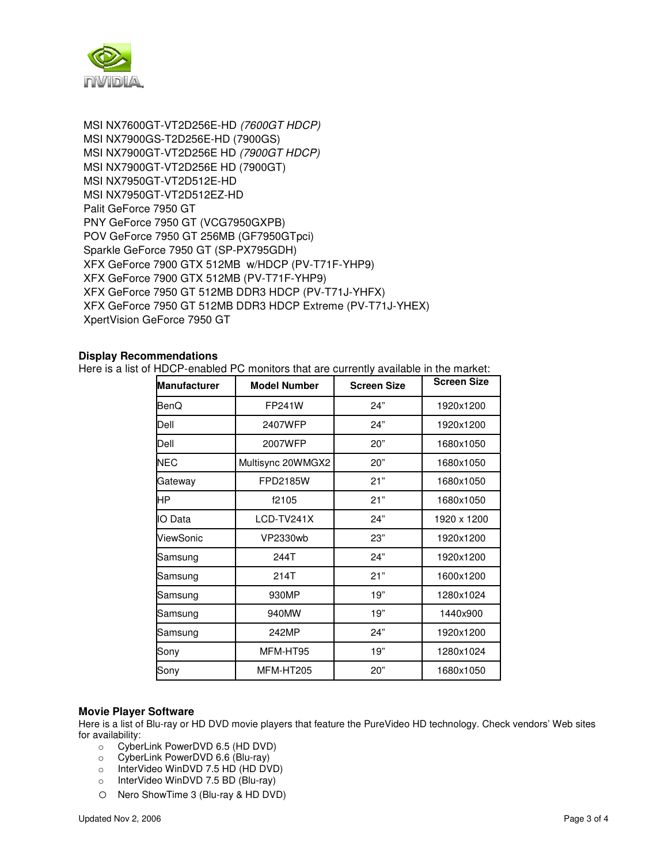

MSI NX7600GT-VT2D256E-HD (7600GT HDCP) MSI NX7900GS-T2D256E-HD (7900GS) MSI NX7900GT-VT2D256E HD (7900GT HDCP) MSI NX7900GT-VT2D256E HD (7900GT) MSI NX7950GT-VT2D512E-HD MSI NX7950GT-VT2D512EZ-HD Palit GeForce 7950 GT PNY GeForce 7950 GT (VCG7950GXPB) POV GeForce 7950 GT 256MB (GF7950GTpci) Sparkle GeForce 7950 GT (SP-PX795GDH) XFX GeForce 7900 GTX 512MB w/HDCP (PV-T71F-YHP9) XFX GeForce 7900 GTX 512MB (PV-T71F-YHP9) XFX GeForce 7950 GT 512MB DDR3 HDCP (PV-T71J-YHFX) XFX GeForce 7950 GT 512MB DDR3 HDCP Extreme (PV-T71J-YHEX) XpertVision GeForce 7950 GT

### **Display Recommendations**

Here is a list of HDCP-enabled PC monitors that are currently available in the market:

| <b>Manufacturer</b> | <b>Model Number</b> | <b>Screen Size</b> | <b>Screen Size</b> |
|---------------------|---------------------|--------------------|--------------------|
| BenQ                | FP241W              | 24"                | 1920x1200          |
| Dell                | 2407WFP             | 24"                | 1920x1200          |
| Dell                | 2007WFP             | 20"                | 1680x1050          |
| <b>NEC</b>          | Multisync 20WMGX2   | 20"                | 1680x1050          |
| Gateway             | <b>FPD2185W</b>     | 21"                | 1680x1050          |
| HP                  | f2105               | 21"                | 1680x1050          |
| <b>IO</b> Data      | LCD-TV241X          | 24"                | 1920 x 1200        |
| ViewSonic           | VP2330wb            | 23"                | 1920x1200          |
| Samsung             | 244T                | 24"                | 1920x1200          |
| Samsung             | 214T                | 21"                | 1600x1200          |
| Samsung             | 930MP               | 19"                | 1280x1024          |
| Samsung             | 940MW               | 19"                | 1440x900           |
| Samsung             | 242MP               | 24"                | 1920x1200          |
| Sony                | MFM-HT95            | 19"                | 1280x1024          |
| Sony                | MFM-HT205           | 20"                | 1680x1050          |

#### **Movie Player Software**

Here is a list of Blu-ray or HD DVD movie players that feature the PureVideo HD technology. Check vendors' Web sites for availability:

- o CyberLink PowerDVD 6.5 (HD DVD)
- o CyberLink PowerDVD 6.6 (Blu-ray)
- o InterVideo WinDVD 7.5 HD (HD DVD)
- o InterVideo WinDVD 7.5 BD (Blu-ray)
- o Nero ShowTime 3 (Blu-ray & HD DVD)